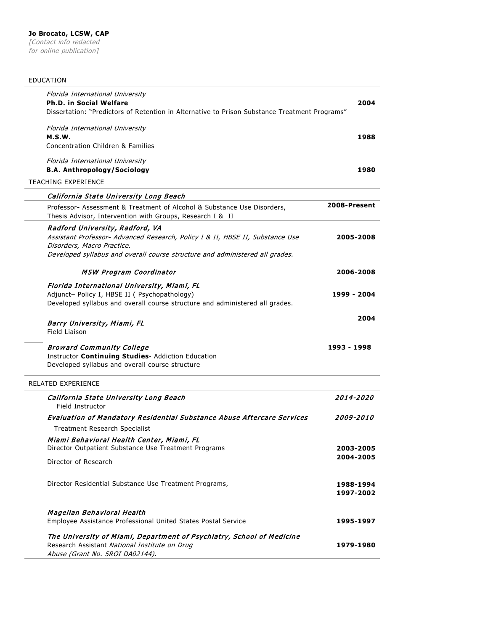## EDUCATION

| Florida International University<br><b>Ph.D. in Social Welfare</b> | Dissertation: "Predictors of Retention in Alternative to Prison Substance Treatment Programs"                                        | 2004                    |
|--------------------------------------------------------------------|--------------------------------------------------------------------------------------------------------------------------------------|-------------------------|
| Florida International University<br>M.S.W.                         |                                                                                                                                      | 1988                    |
|                                                                    | Concentration Children & Families                                                                                                    |                         |
| Florida International University                                   |                                                                                                                                      |                         |
|                                                                    | <b>B.A. Anthropology/Sociology</b>                                                                                                   | 1980                    |
| TEACHING EXPERIENCE                                                |                                                                                                                                      |                         |
|                                                                    | California State University Long Beach                                                                                               |                         |
|                                                                    | Professor- Assessment & Treatment of Alcohol & Substance Use Disorders,<br>Thesis Advisor, Intervention with Groups, Research I & II | 2008-Present            |
|                                                                    | Radford University, Radford, VA                                                                                                      |                         |
| Disorders, Macro Practice.                                         | Assistant Professor- Advanced Research, Policy I & II, HBSE II, Substance Use                                                        | 2005-2008               |
|                                                                    | Developed syllabus and overall course structure and administered all grades.                                                         |                         |
|                                                                    | MSW Program Coordinator                                                                                                              | 2006-2008               |
|                                                                    | Florida International University, Miami, FL                                                                                          |                         |
|                                                                    | Adjunct- Policy I, HBSE II ( Psychopathology)<br>Developed syllabus and overall course structure and administered all grades.        | 1999 - 2004             |
|                                                                    |                                                                                                                                      |                         |
| Barry University, Miami, FL<br>Field Liaison                       |                                                                                                                                      | 2004                    |
|                                                                    | <b>Broward Community College</b>                                                                                                     | 1993 - 1998             |
|                                                                    | Instructor Continuing Studies- Addiction Education                                                                                   |                         |
|                                                                    | Developed syllabus and overall course structure                                                                                      |                         |
| RELATED EXPERIENCE                                                 |                                                                                                                                      |                         |
| <b>Field Instructor</b>                                            | California State University Long Beach                                                                                               | <i><b>2014-2020</b></i> |
|                                                                    | <b>Evaluation of Mandatory Residential Substance Abuse Aftercare Services</b>                                                        | <i><b>2009-2010</b></i> |
|                                                                    | <b>Treatment Research Specialist</b>                                                                                                 |                         |
|                                                                    | Miami Behavioral Health Center, Miami, FL                                                                                            |                         |
|                                                                    | Director Outpatient Substance Use Treatment Programs                                                                                 | 2003-2005               |
| Director of Research                                               |                                                                                                                                      | 2004-2005               |
|                                                                    | Director Residential Substance Use Treatment Programs,                                                                               | 1988-1994               |
|                                                                    |                                                                                                                                      | 1997-2002               |
| Magellan Behavioral Health                                         |                                                                                                                                      |                         |
|                                                                    | Employee Assistance Professional United States Postal Service                                                                        | 1995-1997               |
|                                                                    | The University of Miami, Department of Psychiatry, School of Medicine                                                                |                         |
|                                                                    | Research Assistant National Institute on Drug<br>Abuse (Grant No. 5ROI DA02144).                                                     | 1979-1980               |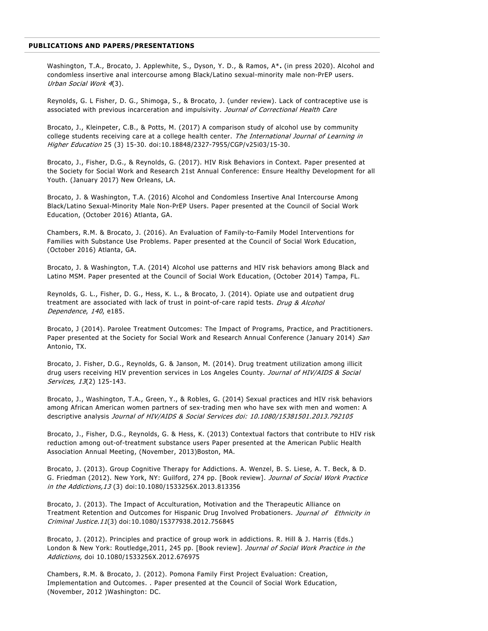## **PUBLICATIONS AND PAPERS/PRESENTATIONS**

Washington, T.A., Brocato, J. Applewhite, S., Dyson, Y. D., & Ramos, A\***.** (in press 2020). Alcohol and condomless insertive anal intercourse among Black/Latino sexual-minority male non-PrEP users. Urban Social Work <sup>4</sup>(3).

Reynolds, G. L Fisher, D. G., Shimoga, S., & Brocato, J. (under review). Lack of contraceptive use is associated with previous incarceration and impulsivity. Journal of Correctional Health Care

Brocato, J., Kleinpeter, C.B., & Potts, M. (2017) A comparison study of alcohol use by community college students receiving care at a college health center. The International Journal of Learning in Higher Education 25 (3) 15-30. doi:10.18848/2327-7955/CGP/v25i03/15-30.

Brocato, J., Fisher, D.G., & Reynolds, G. (2017). HIV Risk Behaviors in Context. Paper presented at the Society for Social Work and Research 21st Annual Conference: Ensure Healthy Development for all Youth. (January 2017) New Orleans, LA.

Brocato, J. & Washington, T.A. (2016) Alcohol and Condomless Insertive Anal Intercourse Among Black/Latino Sexual-Minority Male Non-PrEP Users. Paper presented at the Council of Social Work Education, (October 2016) Atlanta, GA.

Chambers, R.M. & Brocato, J. (2016). An Evaluation of Family-to-Family Model Interventions for Families with Substance Use Problems. Paper presented at the Council of Social Work Education, (October 2016) Atlanta, GA.

Brocato, J. & Washington, T.A. (2014) Alcohol use patterns and HIV risk behaviors among Black and Latino MSM. Paper presented at the Council of Social Work Education, (October 2014) Tampa, FL.

Reynolds, G. L., Fisher, D. G., Hess, K. L., & Brocato, J. (2014). Opiate use and outpatient drug treatment are associated with lack of trust in point-of-care rapid tests. Drug & Alcohol Dependence, 140, e185.

Brocato, J (2014). Parolee Treatment Outcomes: The Impact of Programs, Practice, and Practitioners. Paper presented at the Society for Social Work and Research Annual Conference (January 2014) San Antonio, TX.

Brocato, J. Fisher, D.G., Reynolds, G. & Janson, M. (2014). Drug treatment utilization among illicit drug users receiving HIV prevention services in Los Angeles County. Journal of HIV/AIDS & Social Services, 13(2) 125-143.

Brocato, J., Washington, T.A., Green, Y., & Robles, G. (2014) Sexual practices and HIV risk behaviors among African American women partners of sex-trading men who have sex with men and women: A descriptive analysis Journal of HIV/AIDS & Social Services doi: 10.1080/15381501.2013.792105

Brocato, J., Fisher, D.G., Reynolds, G. & Hess, K. (2013) Contextual factors that contribute to HIV risk reduction among out-of-treatment substance users Paper presented at the American Public Health Association Annual Meeting, (November, 2013)Boston, MA.

Brocato, J. (2013). Group Cognitive Therapy for Addictions. A. Wenzel, B. S. Liese, A. T. Beck, & D. G. Friedman (2012). New York, NY: Guilford, 274 pp. [Book review]. Journal of Social Work Practice in the Addictions,13 (3) doi:10.1080/1533256X.2013.813356

Brocato, J. (2013). The Impact of Acculturation, Motivation and the Therapeutic Alliance on Treatment Retention and Outcomes for Hispanic Drug Involved Probationers. Journal of Ethnicity in Criminal Justice.11(3) doi:10.1080/15377938.2012.756845

Brocato, J. (2012). Principles and practice of group work in addictions. R. Hill & J. Harris (Eds.) London & New York: Routledge, 2011, 245 pp. [Book review]. Journal of Social Work Practice in the Addictions, doi 10.1080/1533256X.2012.676975

Chambers, R.M. & Brocato, J. (2012). Pomona Family First Project Evaluation: Creation, Implementation and Outcomes. . Paper presented at the Council of Social Work Education, (November, 2012 )Washington: DC.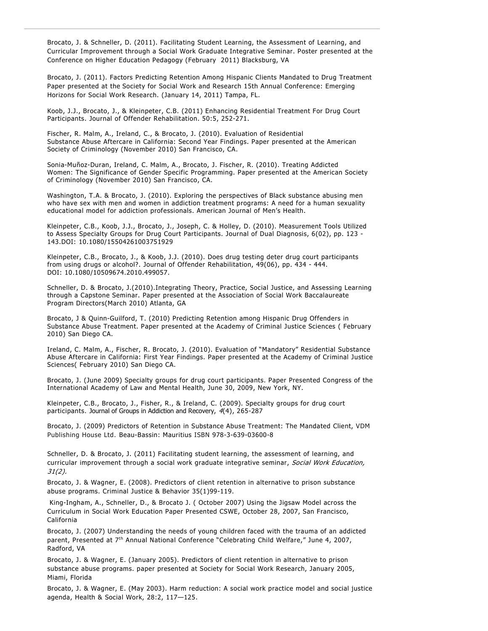Brocato, J. & Schneller, D. (2011). Facilitating Student Learning, the Assessment of Learning, and Curricular Improvement through a Social Work Graduate Integrative Seminar. Poster presented at the Conference on Higher Education Pedagogy (February 2011) Blacksburg, VA

Brocato, J. (2011). Factors Predicting Retention Among Hispanic Clients Mandated to Drug Treatment Paper presented at the Society for Social Work and Research 15th Annual Conference: Emerging Horizons for Social Work Research. (January 14, 2011) Tampa, FL.

Koob, J.J., Brocato, J., & Kleinpeter, C.B. (2011) Enhancing Residential Treatment For Drug Court Participants. Journal of Offender Rehabilitation. 50:5, 252-271.

Fischer, R. Malm, A., Ireland, C., & Brocato, J. (2010). Evaluation of Residential Substance Abuse Aftercare in California: Second Year Findings. Paper presented at the American Society of Criminology (November 2010) San Francisco, CA.

Sonia-Muñoz-Duran, Ireland, C. Malm, A., Brocato, J. Fischer, R. (2010). Treating Addicted Women: The Significance of Gender Specific Programming. Paper presented at the American Society of Criminology (November 2010) San Francisco, CA.

Washington, T.A. & Brocato, J. (2010). Exploring the perspectives of Black substance abusing men who have sex with men and women in addiction treatment programs: A need for a human sexuality educational model for addiction professionals. American Journal of Men's Health.

Kleinpeter, C.B., Koob, J.J., Brocato, J., Joseph, C. & Holley, D. (2010). Measurement Tools Utilized to Assess Specialty Groups for Drug Court Participants. Journal of Dual Diagnosis, 6(02), pp. 123 - 143.DOI: 10.1080/15504261003751929

Kleinpeter, C.B., Brocato, J., & Koob, J.J. (2010). Does drug testing deter drug court participants from using drugs or alcohol?. Journal of Offender Rehabilitation, 49(06), pp. 434 - 444. DOI: 10.1080/10509674.2010.499057.

Schneller, D. & Brocato, J.(2010).Integrating Theory, Practice, Social Justice, and Assessing Learning through a Capstone Seminar. Paper presented at the Association of Social Work Baccalaureate Program Directors(March 2010) Atlanta, GA

Brocato, J & Quinn-Guilford, T. (2010) Predicting Retention among Hispanic Drug Offenders in Substance Abuse Treatment. Paper presented at the Academy of Criminal Justice Sciences ( February 2010) San Diego CA.

Ireland, C. Malm, A., Fischer, R. Brocato, J. (2010). Evaluation of "Mandatory" Residential Substance Abuse Aftercare in California: First Year Findings. Paper presented at the Academy of Criminal Justice Sciences( February 2010) San Diego CA.

Brocato, J. (June 2009) Specialty groups for drug court participants. Paper Presented Congress of the International Academy of Law and Mental Health, June 30, 2009, New York, NY.

Kleinpeter, C.B., Brocato, J., Fisher, R., & Ireland, C. (2009). Specialty groups for drug court participants. Journal of Groups in Addiction and Recovery, 4(4), 265-287

Brocato, J. (2009) Predictors of Retention in Substance Abuse Treatment: The Mandated Client, VDM Publishing House Ltd. Beau-Bassin: Mauritius ISBN 978-3-639-03600-8

Schneller, D. & Brocato, J. (2011) Facilitating student learning, the assessment of learning, and curricular improvement through a social work graduate integrative seminar, Social Work Education, 31(2).

Brocato, J. & Wagner, E. (2008). Predictors of client retention in alternative to prison substance abuse programs. Criminal Justice & Behavior 35(1)99-119.

King-Ingham, A., Schneller, D., & Brocato J. ( October 2007) Using the Jigsaw Model across the Curriculum in Social Work Education Paper Presented CSWE, October 28, 2007, San Francisco, California

Brocato, J. (2007) Understanding the needs of young children faced with the trauma of an addicted parent, Presented at 7<sup>th</sup> Annual National Conference "Celebrating Child Welfare," June 4, 2007, Radford, VA

Brocato, J. & Wagner, E. (January 2005). Predictors of client retention in alternative to prison substance abuse programs. paper presented at Society for Social Work Research, January 2005, Miami, Florida

Brocato, J. & Wagner, E. (May 2003). Harm reduction: A social work practice model and social justice agenda, Health & Social Work, 28:2, 117—125.